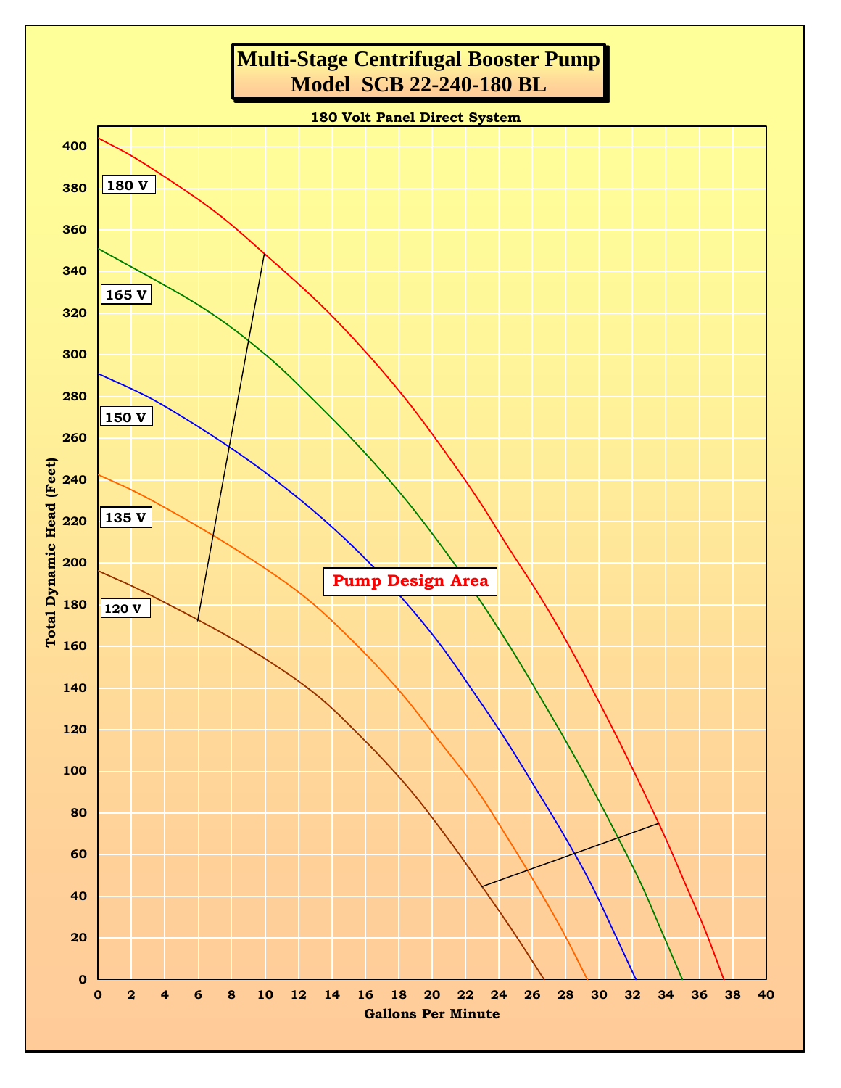